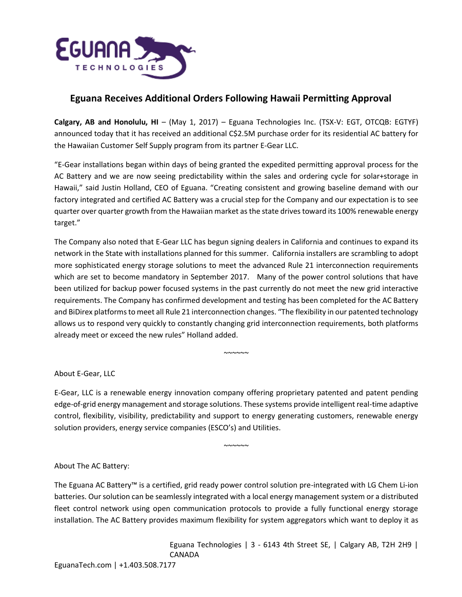

## **Eguana Receives Additional Orders Following Hawaii Permitting Approval**

**Calgary, AB and Honolulu, HI** – (May 1, 2017) – Eguana Technologies Inc. (TSX-V: EGT, OTCQB: EGTYF) announced today that it has received an additional C\$2.5M purchase order for its residential AC battery for the Hawaiian Customer Self Supply program from its partner E-Gear LLC.

"E-Gear installations began within days of being granted the expedited permitting approval process for the AC Battery and we are now seeing predictability within the sales and ordering cycle for solar+storage in Hawaii," said Justin Holland, CEO of Eguana. "Creating consistent and growing baseline demand with our factory integrated and certified AC Battery was a crucial step for the Company and our expectation is to see quarter over quarter growth from the Hawaiian market as the state drives toward its 100% renewable energy target."

The Company also noted that E-Gear LLC has begun signing dealers in California and continues to expand its network in the State with installations planned for this summer. California installers are scrambling to adopt more sophisticated energy storage solutions to meet the advanced Rule 21 interconnection requirements which are set to become mandatory in September 2017. Many of the power control solutions that have been utilized for backup power focused systems in the past currently do not meet the new grid interactive requirements. The Company has confirmed development and testing has been completed for the AC Battery and BiDirex platforms to meet all Rule 21 interconnection changes. "The flexibility in our patented technology allows us to respond very quickly to constantly changing grid interconnection requirements, both platforms already meet or exceed the new rules" Holland added.

About E-Gear, LLC

E-Gear, LLC is a renewable energy innovation company offering proprietary patented and patent pending edge-of-grid energy management and storage solutions. These systems provide intelligent real-time adaptive control, flexibility, visibility, predictability and support to energy generating customers, renewable energy solution providers, energy service companies (ESCO's) and Utilities.

 $~\sim$ ~~~

 $~\sim\sim\sim\sim\sim\sim$ 

## About The AC Battery:

The Eguana AC Battery™ is a certified, grid ready power control solution pre-integrated with LG Chem Li-ion batteries. Our solution can be seamlessly integrated with a local energy management system or a distributed fleet control network using open communication protocols to provide a fully functional energy storage installation. The AC Battery provides maximum flexibility for system aggregators which want to deploy it as

> Eguana Technologies | 3 - 6143 4th Street SE, | Calgary AB, T2H 2H9 | CANADA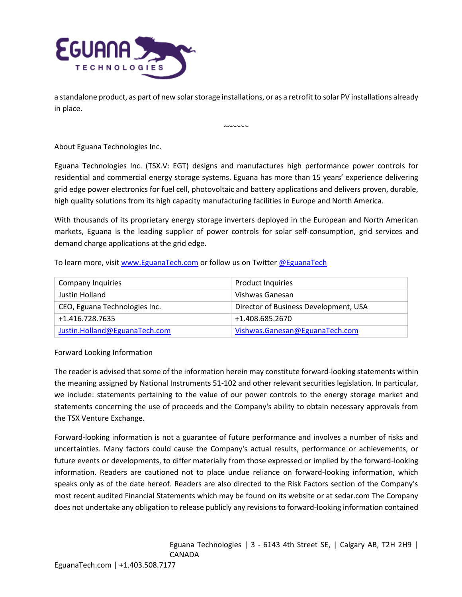

a standalone product, as part of new solar storage installations, or as a retrofit to solar PV installations already in place.

 $~\sim\sim\sim\sim\sim$ 

About Eguana Technologies Inc.

Eguana Technologies Inc. (TSX.V: EGT) designs and manufactures high performance power controls for residential and commercial energy storage systems. Eguana has more than 15 years' experience delivering grid edge power electronics for fuel cell, photovoltaic and battery applications and delivers proven, durable, high quality solutions from its high capacity manufacturing facilities in Europe and North America.

With thousands of its proprietary energy storage inverters deployed in the European and North American markets, Eguana is the leading supplier of power controls for solar self-consumption, grid services and demand charge applications at the grid edge.

To learn more, visi[t www.EguanaTech.com](http://www.eguanatech.com/) or follow us on Twitte[r @EguanaTech](https://twitter.com/EguanaTech)

| <b>Company Inquiries</b>      | <b>Product Inquiries</b>              |
|-------------------------------|---------------------------------------|
| Justin Holland                | Vishwas Ganesan                       |
| CEO, Eguana Technologies Inc. | Director of Business Development, USA |
| +1.416.728.7635               | +1.408.685.2670                       |
| Justin.Holland@EguanaTech.com | Vishwas.Ganesan@EguanaTech.com        |

## Forward Looking Information

The reader is advised that some of the information herein may constitute forward-looking statements within the meaning assigned by National Instruments 51-102 and other relevant securities legislation. In particular, we include: statements pertaining to the value of our power controls to the energy storage market and statements concerning the use of proceeds and the Company's ability to obtain necessary approvals from the TSX Venture Exchange.

Forward-looking information is not a guarantee of future performance and involves a number of risks and uncertainties. Many factors could cause the Company's actual results, performance or achievements, or future events or developments, to differ materially from those expressed or implied by the forward-looking information. Readers are cautioned not to place undue reliance on forward-looking information, which speaks only as of the date hereof. Readers are also directed to the Risk Factors section of the Company's most recent audited Financial Statements which may be found on its website or at sedar.com The Company does not undertake any obligation to release publicly any revisions to forward-looking information contained